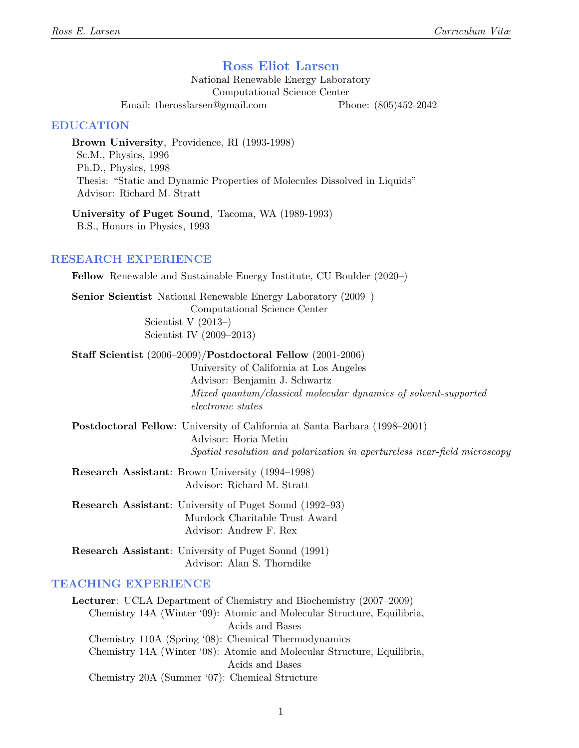## Ross Eliot Larsen

National Renewable Energy Laboratory Computational Science Center

Email: therosslarsen@gmail.com Phone: (805)452-2042

#### EDUCATION

Brown University, Providence, RI (1993-1998) Sc.M., Physics, 1996 Ph.D., Physics, 1998 Thesis: "Static and Dynamic Properties of Molecules Dissolved in Liquids" Advisor: Richard M. Stratt

University of Puget Sound, Tacoma, WA (1989-1993) B.S., Honors in Physics, 1993

#### RESEARCH EXPERIENCE

Fellow Renewable and Sustainable Energy Institute, CU Boulder (2020–)

Senior Scientist National Renewable Energy Laboratory (2009–) Computational Science Center Scientist V (2013–) Scientist IV (2009–2013)

Staff Scientist (2006–2009)/Postdoctoral Fellow (2001-2006)

University of California at Los Angeles Advisor: Benjamin J. Schwartz Mixed quantum/classical molecular dynamics of solvent-supported electronic states

Postdoctoral Fellow: University of California at Santa Barbara (1998–2001) Advisor: Horia Metiu Spatial resolution and polarization in apertureless near-field microscopy

Research Assistant: Brown University (1994–1998) Advisor: Richard M. Stratt

Research Assistant: University of Puget Sound (1992–93) Murdock Charitable Trust Award Advisor: Andrew F. Rex

Research Assistant: University of Puget Sound (1991) Advisor: Alan S. Thorndike

### TEACHING EXPERIENCE

Lecturer: UCLA Department of Chemistry and Biochemistry (2007–2009) Chemistry 14A (Winter '09): Atomic and Molecular Structure, Equilibria, Acids and Bases Chemistry 110A (Spring '08): Chemical Thermodynamics Chemistry 14A (Winter '08): Atomic and Molecular Structure, Equilibria, Acids and Bases Chemistry 20A (Summer '07): Chemical Structure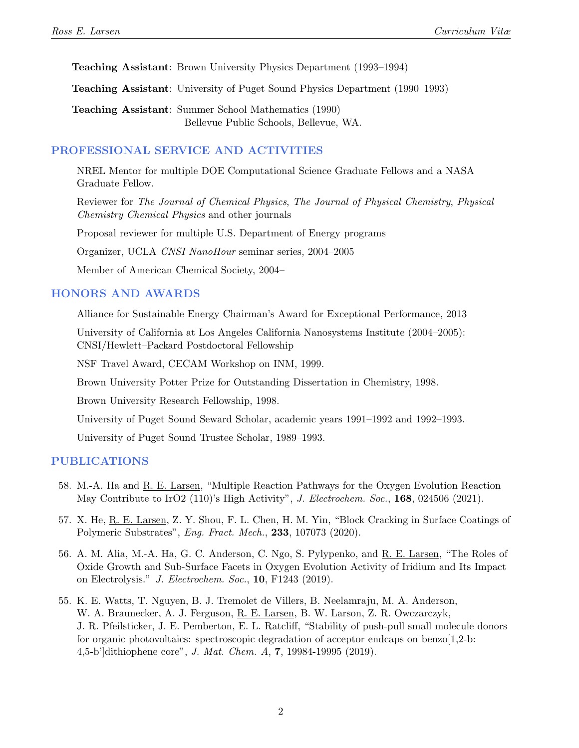Teaching Assistant: Brown University Physics Department (1993–1994)

Teaching Assistant: University of Puget Sound Physics Department (1990–1993)

Teaching Assistant: Summer School Mathematics (1990) Bellevue Public Schools, Bellevue, WA.

### PROFESSIONAL SERVICE AND ACTIVITIES

NREL Mentor for multiple DOE Computational Science Graduate Fellows and a NASA Graduate Fellow.

Reviewer for The Journal of Chemical Physics, The Journal of Physical Chemistry, Physical Chemistry Chemical Physics and other journals

Proposal reviewer for multiple U.S. Department of Energy programs

Organizer, UCLA CNSI NanoHour seminar series, 2004–2005

Member of American Chemical Society, 2004–

#### HONORS AND AWARDS

Alliance for Sustainable Energy Chairman's Award for Exceptional Performance, 2013

University of California at Los Angeles California Nanosystems Institute (2004–2005): CNSI/Hewlett–Packard Postdoctoral Fellowship

NSF Travel Award, CECAM Workshop on INM, 1999.

Brown University Potter Prize for Outstanding Dissertation in Chemistry, 1998.

Brown University Research Fellowship, 1998.

University of Puget Sound Seward Scholar, academic years 1991–1992 and 1992–1993.

University of Puget Sound Trustee Scholar, 1989–1993.

#### PUBLICATIONS

- 58. M.-A. Ha and R. E. Larsen, "Multiple Reaction Pathways for the Oxygen Evolution Reaction May Contribute to IrO2 (110)'s High Activity", J. Electrochem. Soc., 168, 024506 (2021).
- 57. X. He, R. E. Larsen, Z. Y. Shou, F. L. Chen, H. M. Yin, "Block Cracking in Surface Coatings of Polymeric Substrates", Eng. Fract. Mech., 233, 107073 (2020).
- 56. A. M. Alia, M.-A. Ha, G. C. Anderson, C. Ngo, S. Pylypenko, and R. E. Larsen, "The Roles of Oxide Growth and Sub-Surface Facets in Oxygen Evolution Activity of Iridium and Its Impact on Electrolysis." J. Electrochem. Soc., 10, F1243 (2019).
- 55. K. E. Watts, T. Nguyen, B. J. Tremolet de Villers, B. Neelamraju, M. A. Anderson, W. A. Braunecker, A. J. Ferguson, R. E. Larsen, B. W. Larson, Z. R. Owczarczyk, J. R. Pfeilsticker, J. E. Pemberton, E. L. Ratcliff, "Stability of push-pull small molecule donors for organic photovoltaics: spectroscopic degradation of acceptor endcaps on benzo $[1,2$ -b: 4,5-b']dithiophene core", J. Mat. Chem. A, 7, 19984-19995 (2019).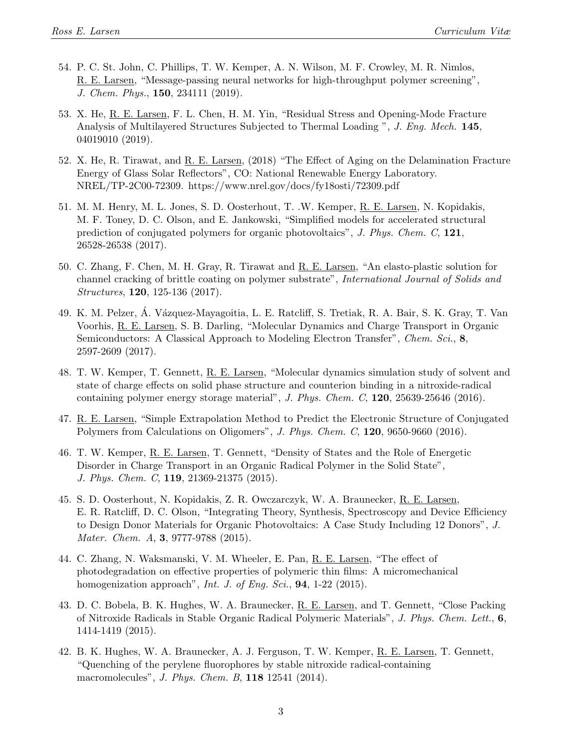- 54. P. C. St. John, C. Phillips, T. W. Kemper, A. N. Wilson, M. F. Crowley, M. R. Nimlos, R. E. Larsen, "Message-passing neural networks for high-throughput polymer screening", J. Chem. Phys., 150, 234111 (2019).
- 53. X. He, R. E. Larsen, F. L. Chen, H. M. Yin, "Residual Stress and Opening-Mode Fracture Analysis of Multilayered Structures Subjected to Thermal Loading", J. Eng. Mech. 145, 04019010 (2019).
- 52. X. He, R. Tirawat, and R. E. Larsen, (2018) "The Effect of Aging on the Delamination Fracture Energy of Glass Solar Reflectors", CO: National Renewable Energy Laboratory. NREL/TP-2C00-72309. https://www.nrel.gov/docs/fy18osti/72309.pdf
- 51. M. M. Henry, M. L. Jones, S. D. Oosterhout, T. .W. Kemper, R. E. Larsen, N. Kopidakis, M. F. Toney, D. C. Olson, and E. Jankowski, "Simplified models for accelerated structural prediction of conjugated polymers for organic photovoltaics", J. Phys. Chem. C, 121, 26528-26538 (2017).
- 50. C. Zhang, F. Chen, M. H. Gray, R. Tirawat and R. E. Larsen, "An elasto-plastic solution for channel cracking of brittle coating on polymer substrate", International Journal of Solids and Structures, 120, 125-136 (2017).
- 49. K. M. Pelzer, A. Vázquez-Mayagoitia, L. E. Ratcliff, S. Tretiak, R. A. Bair, S. K. Gray, T. Van Voorhis, R. E. Larsen, S. B. Darling, "Molecular Dynamics and Charge Transport in Organic Semiconductors: A Classical Approach to Modeling Electron Transfer", Chem. Sci., 8, 2597-2609 (2017).
- 48. T. W. Kemper, T. Gennett, R. E. Larsen, "Molecular dynamics simulation study of solvent and state of charge effects on solid phase structure and counterion binding in a nitroxide-radical containing polymer energy storage material", J. Phys. Chem. C,  $120$ ,  $25639-25646$  (2016).
- 47. R. E. Larsen, "Simple Extrapolation Method to Predict the Electronic Structure of Conjugated Polymers from Calculations on Oligomers", J. Phys. Chem. C, 120, 9650-9660 (2016).
- 46. T. W. Kemper, R. E. Larsen, T. Gennett, "Density of States and the Role of Energetic Disorder in Charge Transport in an Organic Radical Polymer in the Solid State", J. Phys. Chem. C, 119, 21369-21375 (2015).
- 45. S. D. Oosterhout, N. Kopidakis, Z. R. Owczarczyk, W. A. Braunecker, R. E. Larsen, E. R. Ratcliff, D. C. Olson, "Integrating Theory, Synthesis, Spectroscopy and Device Efficiency to Design Donor Materials for Organic Photovoltaics: A Case Study Including 12 Donors", J. Mater. Chem. A, **3**, 9777-9788 (2015).
- 44. C. Zhang, N. Waksmanski, V. M. Wheeler, E. Pan, R. E. Larsen, "The effect of photodegradation on effective properties of polymeric thin films: A micromechanical homogenization approach", *Int. J. of Eng. Sci.*, **94**, 1-22 (2015).
- 43. D. C. Bobela, B. K. Hughes, W. A. Braunecker, R. E. Larsen, and T. Gennett, "Close Packing of Nitroxide Radicals in Stable Organic Radical Polymeric Materials", J. Phys. Chem. Lett., 6, 1414-1419 (2015).
- 42. B. K. Hughes, W. A. Braunecker, A. J. Ferguson, T. W. Kemper, R. E. Larsen, T. Gennett, "Quenching of the perylene fluorophores by stable nitroxide radical-containing macromolecules", *J. Phys. Chem. B*, **118** 12541 (2014).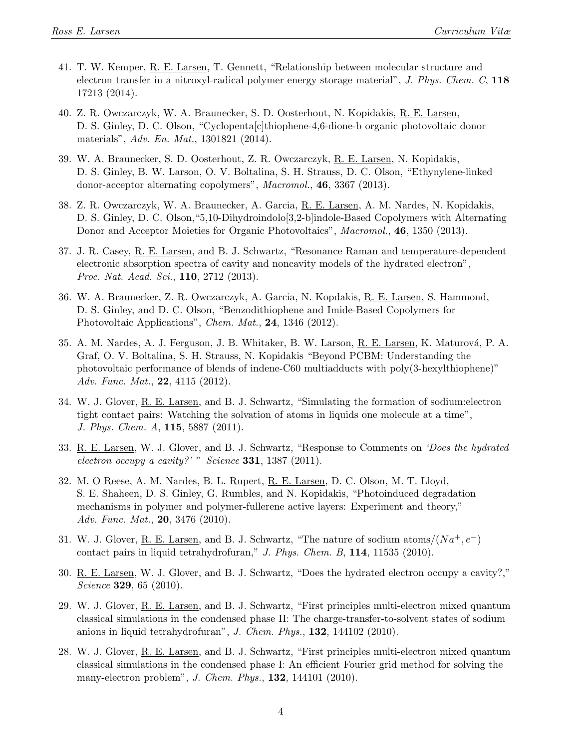- 41. T. W. Kemper, R. E. Larsen, T. Gennett, "Relationship between molecular structure and electron transfer in a nitroxyl-radical polymer energy storage material", J. Phys. Chem. C, 118 17213 (2014).
- 40. Z. R. Owczarczyk, W. A. Braunecker, S. D. Oosterhout, N. Kopidakis, R. E. Larsen, D. S. Ginley, D. C. Olson, "Cyclopenta[c]thiophene-4,6-dione-b organic photovoltaic donor materials", Adv. En. Mat., 1301821 (2014).
- 39. W. A. Braunecker, S. D. Oosterhout, Z. R. Owczarczyk, R. E. Larsen, N. Kopidakis, D. S. Ginley, B. W. Larson, O. V. Boltalina, S. H. Strauss, D. C. Olson, "Ethynylene-linked donor-acceptor alternating copolymers", Macromol., 46, 3367 (2013).
- 38. Z. R. Owczarczyk, W. A. Braunecker, A. Garcia, R. E. Larsen, A. M. Nardes, N. Kopidakis, D. S. Ginley, D. C. Olson,"5,10-Dihydroindolo[3,2-b]indole-Based Copolymers with Alternating Donor and Acceptor Moieties for Organic Photovoltaics", *Macromol.*, **46**, 1350 (2013).
- 37. J. R. Casey, R. E. Larsen, and B. J. Schwartz, "Resonance Raman and temperature-dependent electronic absorption spectra of cavity and noncavity models of the hydrated electron", Proc. Nat. Acad. Sci., **110**, 2712 (2013).
- 36. W. A. Braunecker, Z. R. Owczarczyk, A. Garcia, N. Kopdakis, R. E. Larsen, S. Hammond, D. S. Ginley, and D. C. Olson, "Benzodithiophene and Imide-Based Copolymers for Photovoltaic Applications", *Chem. Mat.*, **24**, 1346 (2012).
- 35. A. M. Nardes, A. J. Ferguson, J. B. Whitaker, B. W. Larson, R. E. Larsen, K. Maturová, P. A. Graf, O. V. Boltalina, S. H. Strauss, N. Kopidakis "Beyond PCBM: Understanding the photovoltaic performance of blends of indene-C60 multiadducts with poly(3-hexylthiophene)" Adv. Func. Mat.,  $22, 4115$  (2012).
- 34. W. J. Glover, R. E. Larsen, and B. J. Schwartz, "Simulating the formation of sodium:electron tight contact pairs: Watching the solvation of atoms in liquids one molecule at a time", J. Phys. Chem. A, 115, 5887 (2011).
- 33. R. E. Larsen, W. J. Glover, and B. J. Schwartz, "Response to Comments on 'Does the hydrated electron occupy a cavity?' " Science 331, 1387 (2011).
- 32. M. O Reese, A. M. Nardes, B. L. Rupert, R. E. Larsen, D. C. Olson, M. T. Lloyd, S. E. Shaheen, D. S. Ginley, G. Rumbles, and N. Kopidakis, "Photoinduced degradation mechanisms in polymer and polymer-fullerene active layers: Experiment and theory," Adv. Func. Mat., 20, 3476 (2010).
- 31. W. J. Glover, R. E. Larsen, and B. J. Schwartz, "The nature of sodium atoms/ $(Na^+, e^-)$ contact pairs in liquid tetrahydrofuran," J. Phys. Chem. B,  $114$ ,  $11535$  (2010).
- 30. R. E. Larsen, W. J. Glover, and B. J. Schwartz, "Does the hydrated electron occupy a cavity?," Science **329**, 65 (2010).
- 29. W. J. Glover, R. E. Larsen, and B. J. Schwartz, "First principles multi-electron mixed quantum classical simulations in the condensed phase II: The charge-transfer-to-solvent states of sodium anions in liquid tetrahydrofuran", J. Chem. Phys.,  $132$ ,  $144102$  (2010).
- 28. W. J. Glover, R. E. Larsen, and B. J. Schwartz, "First principles multi-electron mixed quantum classical simulations in the condensed phase I: An efficient Fourier grid method for solving the many-electron problem", *J. Chem. Phys.*, **132**, 144101 (2010).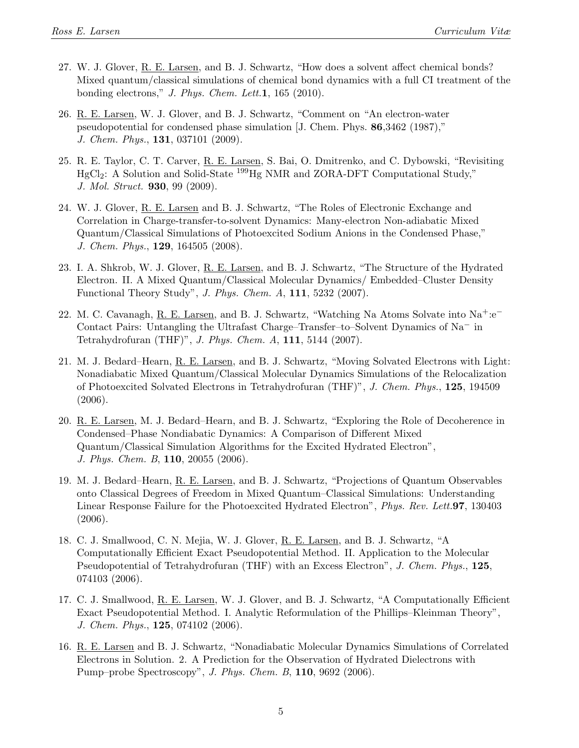- 27. W. J. Glover, R. E. Larsen, and B. J. Schwartz, "How does a solvent affect chemical bonds? Mixed quantum/classical simulations of chemical bond dynamics with a full CI treatment of the bonding electrons," J. Phys. Chem. Lett.1, 165 (2010).
- 26. R. E. Larsen, W. J. Glover, and B. J. Schwartz, "Comment on "An electron-water pseudopotential for condensed phase simulation [J. Chem. Phys. 86,3462 (1987)," J. Chem. Phys., 131, 037101 (2009).
- 25. R. E. Taylor, C. T. Carver, R. E. Larsen, S. Bai, O. Dmitrenko, and C. Dybowski, "Revisiting  $HgCl<sub>2</sub>$ : A Solution and Solid-State  $^{199}Hg$  NMR and ZORA-DFT Computational Study," J. Mol. Struct. 930, 99 (2009).
- 24. W. J. Glover, R. E. Larsen and B. J. Schwartz, "The Roles of Electronic Exchange and Correlation in Charge-transfer-to-solvent Dynamics: Many-electron Non-adiabatic Mixed Quantum/Classical Simulations of Photoexcited Sodium Anions in the Condensed Phase," J. Chem. Phys., 129, 164505 (2008).
- 23. I. A. Shkrob, W. J. Glover, R. E. Larsen, and B. J. Schwartz, "The Structure of the Hydrated Electron. II. A Mixed Quantum/Classical Molecular Dynamics/ Embedded–Cluster Density Functional Theory Study", J. Phys. Chem. A, 111, 5232 (2007).
- 22. M. C. Cavanagh, R. E. Larsen, and B. J. Schwartz, "Watching Na Atoms Solvate into Na+:e<sup>−</sup> Contact Pairs: Untangling the Ultrafast Charge–Transfer–to–Solvent Dynamics of Na<sup>−</sup> in Tetrahydrofuran (THF)", J. Phys. Chem. A, 111, 5144 (2007).
- 21. M. J. Bedard–Hearn, R. E. Larsen, and B. J. Schwartz, "Moving Solvated Electrons with Light: Nonadiabatic Mixed Quantum/Classical Molecular Dynamics Simulations of the Relocalization of Photoexcited Solvated Electrons in Tetrahydrofuran (THF)", J. Chem. Phys., 125, 194509 (2006).
- 20. R. E. Larsen, M. J. Bedard–Hearn, and B. J. Schwartz, "Exploring the Role of Decoherence in Condensed–Phase Nondiabatic Dynamics: A Comparison of Different Mixed Quantum/Classical Simulation Algorithms for the Excited Hydrated Electron", J. Phys. Chem. B, 110, 20055 (2006).
- 19. M. J. Bedard–Hearn, R. E. Larsen, and B. J. Schwartz, "Projections of Quantum Observables onto Classical Degrees of Freedom in Mixed Quantum–Classical Simulations: Understanding Linear Response Failure for the Photoexcited Hydrated Electron", *Phys. Rev. Lett.*97, 130403 (2006).
- 18. C. J. Smallwood, C. N. Mejia, W. J. Glover, R. E. Larsen, and B. J. Schwartz, "A Computationally Efficient Exact Pseudopotential Method. II. Application to the Molecular Pseudopotential of Tetrahydrofuran (THF) with an Excess Electron", J. Chem. Phys., 125, 074103 (2006).
- 17. C. J. Smallwood, R. E. Larsen, W. J. Glover, and B. J. Schwartz, "A Computationally Efficient Exact Pseudopotential Method. I. Analytic Reformulation of the Phillips–Kleinman Theory", J. Chem. Phys., 125, 074102 (2006).
- 16. R. E. Larsen and B. J. Schwartz, "Nonadiabatic Molecular Dynamics Simulations of Correlated Electrons in Solution. 2. A Prediction for the Observation of Hydrated Dielectrons with Pump–probe Spectroscopy", J. Phys. Chem. B, 110, 9692 (2006).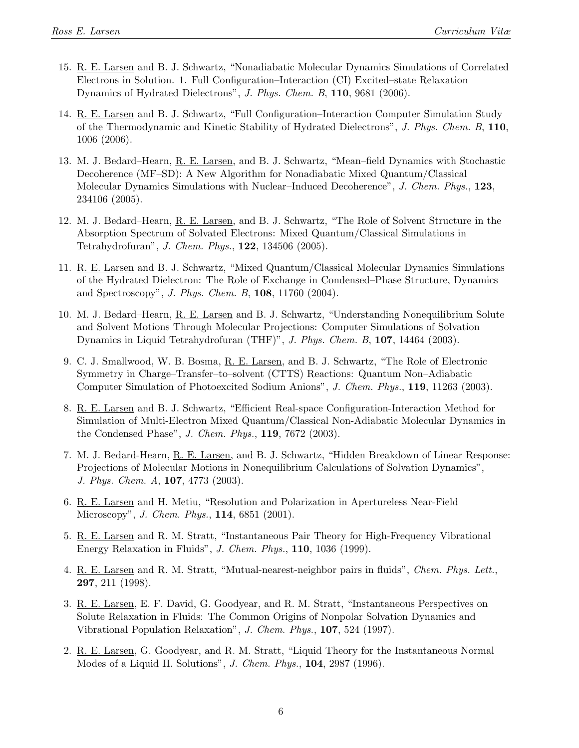- 15. R. E. Larsen and B. J. Schwartz, "Nonadiabatic Molecular Dynamics Simulations of Correlated Electrons in Solution. 1. Full Configuration–Interaction (CI) Excited–state Relaxation Dynamics of Hydrated Dielectrons", J. Phys. Chem. B, 110, 9681 (2006).
- 14. R. E. Larsen and B. J. Schwartz, "Full Configuration–Interaction Computer Simulation Study of the Thermodynamic and Kinetic Stability of Hydrated Dielectrons", J. Phys. Chem. B, 110, 1006 (2006).
- 13. M. J. Bedard–Hearn, R. E. Larsen, and B. J. Schwartz, "Mean–field Dynamics with Stochastic Decoherence (MF–SD): A New Algorithm for Nonadiabatic Mixed Quantum/Classical Molecular Dynamics Simulations with Nuclear–Induced Decoherence", J. Chem. Phys., 123, 234106 (2005).
- 12. M. J. Bedard–Hearn, R. E. Larsen, and B. J. Schwartz, "The Role of Solvent Structure in the Absorption Spectrum of Solvated Electrons: Mixed Quantum/Classical Simulations in Tetrahydrofuran", J. Chem. Phys., 122, 134506 (2005).
- 11. R. E. Larsen and B. J. Schwartz, "Mixed Quantum/Classical Molecular Dynamics Simulations of the Hydrated Dielectron: The Role of Exchange in Condensed–Phase Structure, Dynamics and Spectroscopy", *J. Phys. Chem. B*,  $108$ ,  $11760$  (2004).
- 10. M. J. Bedard–Hearn, R. E. Larsen and B. J. Schwartz, "Understanding Nonequilibrium Solute and Solvent Motions Through Molecular Projections: Computer Simulations of Solvation Dynamics in Liquid Tetrahydrofuran (THF)", J. Phys. Chem. B, 107, 14464 (2003).
- 9. C. J. Smallwood, W. B. Bosma, R. E. Larsen, and B. J. Schwartz, "The Role of Electronic Symmetry in Charge–Transfer–to–solvent (CTTS) Reactions: Quantum Non–Adiabatic Computer Simulation of Photoexcited Sodium Anions", J. Chem. Phys., 119, 11263 (2003).
- 8. R. E. Larsen and B. J. Schwartz, "Efficient Real-space Configuration-Interaction Method for Simulation of Multi-Electron Mixed Quantum/Classical Non-Adiabatic Molecular Dynamics in the Condensed Phase", J. Chem. Phys., 119, 7672 (2003).
- 7. M. J. Bedard-Hearn, R. E. Larsen, and B. J. Schwartz, "Hidden Breakdown of Linear Response: Projections of Molecular Motions in Nonequilibrium Calculations of Solvation Dynamics", J. Phys. Chem. A, 107, 4773 (2003).
- 6. R. E. Larsen and H. Metiu, "Resolution and Polarization in Apertureless Near-Field Microscopy", J. Chem. Phys., 114, 6851 (2001).
- 5. R. E. Larsen and R. M. Stratt, "Instantaneous Pair Theory for High-Frequency Vibrational Energy Relaxation in Fluids", J. Chem. Phys., 110, 1036 (1999).
- 4. R. E. Larsen and R. M. Stratt, "Mutual-nearest-neighbor pairs in fluids", Chem. Phys. Lett., 297, 211 (1998).
- 3. R. E. Larsen, E. F. David, G. Goodyear, and R. M. Stratt, "Instantaneous Perspectives on Solute Relaxation in Fluids: The Common Origins of Nonpolar Solvation Dynamics and Vibrational Population Relaxation", J. Chem. Phys., 107, 524 (1997).
- 2. R. E. Larsen, G. Goodyear, and R. M. Stratt, "Liquid Theory for the Instantaneous Normal Modes of a Liquid II. Solutions", J. Chem. Phys., 104, 2987 (1996).